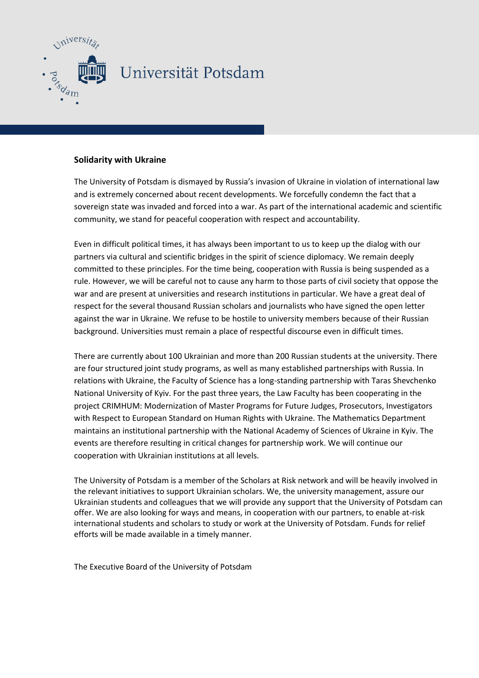

## **Solidarity with Ukraine**

The University of Potsdam is dismayed by Russia's invasion of Ukraine in violation of international law and is extremely concerned about recent developments. We forcefully condemn the fact that a sovereign state was invaded and forced into a war. As part of the international academic and scientific community, we stand for peaceful cooperation with respect and accountability.

Even in difficult political times, it has always been important to us to keep up the dialog with our partners via cultural and scientific bridges in the spirit of science diplomacy. We remain deeply committed to these principles. For the time being, cooperation with Russia is being suspended as a rule. However, we will be careful not to cause any harm to those parts of civil society that oppose the war and are present at universities and research institutions in particular. We have a great deal of respect for the several thousand Russian scholars and journalists who have signed the open letter against the war in Ukraine. We refuse to be hostile to university members because of their Russian background. Universities must remain a place of respectful discourse even in difficult times.

There are currently about 100 Ukrainian and more than 200 Russian students at the university. There are four structured joint study programs, as well as many established partnerships with Russia. In relations with Ukraine, the Faculty of Science has a long-standing partnership with Taras Shevchenko National University of Kyiv. For the past three years, the Law Faculty has been cooperating in the project CRIMHUM: Modernization of Master Programs for Future Judges, Prosecutors, Investigators with Respect to European Standard on Human Rights with Ukraine. The Mathematics Department maintains an institutional partnership with the National Academy of Sciences of Ukraine in Kyiv. The events are therefore resulting in critical changes for partnership work. We will continue our cooperation with Ukrainian institutions at all levels.

The University of Potsdam is a member of the Scholars at Risk network and will be heavily involved in the relevant initiatives to support Ukrainian scholars. We, the university management, assure our Ukrainian students and colleagues that we will provide any support that the University of Potsdam can offer. We are also looking for ways and means, in cooperation with our partners, to enable at-risk international students and scholars to study or work at the University of Potsdam. Funds for relief efforts will be made available in a timely manner.

The Executive Board of the University of Potsdam